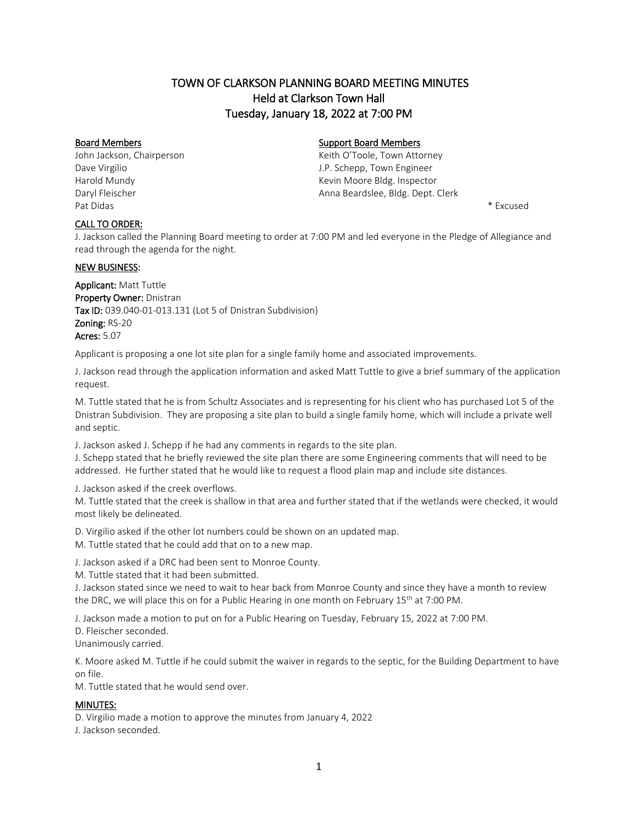# TOWN OF CLARKSON PLANNING BOARD MEETING MINUTES Held at Clarkson Town Hall Tuesday, January 18, 2022 at 7:00 PM

Pat Didas \* Excused

# Board Members **Support Board Members** Support Board Members

John Jackson, Chairperson **Keith O'Toole, Town Attorney** Keith O'Toole, Town Attorney Dave Virgilio J.P. Schepp, Town Engineer Harold Mundy **Kevin Moore Bldg. Inspector Kevin Moore Bldg.** Inspector Daryl Fleischer **Anna Beardslee, Bldg. Dept. Clerk** Anna Beardslee, Bldg. Dept. Clerk

#### CALL TO ORDER:

J. Jackson called the Planning Board meeting to order at 7:00 PM and led everyone in the Pledge of Allegiance and read through the agenda for the night.

### **NEW BUSINESS:**

Applicant: Matt Tuttle Property Owner: Dnistran Tax ID: 039.040-01-013.131 (Lot 5 of Dnistran Subdivision) Zoning: RS-20 Acres: 5.07

Applicant is proposing a one lot site plan for a single family home and associated improvements.

J. Jackson read through the application information and asked Matt Tuttle to give a brief summary of the application request.

M. Tuttle stated that he is from Schultz Associates and is representing for his client who has purchased Lot 5 of the Dnistran Subdivision. They are proposing a site plan to build a single family home, which will include a private well and septic.

J. Jackson asked J. Schepp if he had any comments in regards to the site plan.

J. Schepp stated that he briefly reviewed the site plan there are some Engineering comments that will need to be addressed. He further stated that he would like to request a flood plain map and include site distances.

J. Jackson asked if the creek overflows.

M. Tuttle stated that the creek is shallow in that area and further stated that if the wetlands were checked, it would most likely be delineated.

D. Virgilio asked if the other lot numbers could be shown on an updated map.

M. Tuttle stated that he could add that on to a new map.

J. Jackson asked if a DRC had been sent to Monroe County.

M. Tuttle stated that it had been submitted.

J. Jackson stated since we need to wait to hear back from Monroe County and since they have a month to review the DRC, we will place this on for a Public Hearing in one month on February 15<sup>th</sup> at 7:00 PM.

J. Jackson made a motion to put on for a Public Hearing on Tuesday, February 15, 2022 at 7:00 PM. D. Fleischer seconded.

Unanimously carried.

K. Moore asked M. Tuttle if he could submit the waiver in regards to the septic, for the Building Department to have on file.

M. Tuttle stated that he would send over.

### MINUTES:

D. Virgilio made a motion to approve the minutes from January 4, 2022

J. Jackson seconded.